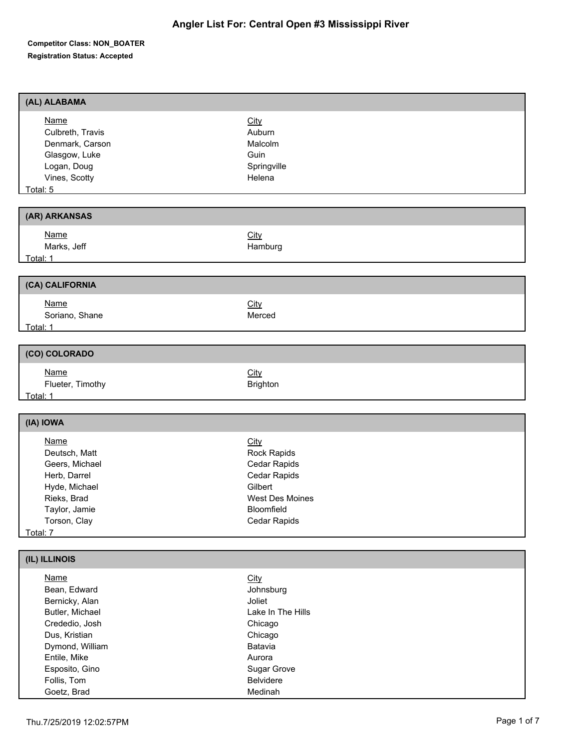| (AL) ALABAMA                                                                                                                                                                           |                                                                                                                                    |
|----------------------------------------------------------------------------------------------------------------------------------------------------------------------------------------|------------------------------------------------------------------------------------------------------------------------------------|
| <b>Name</b><br>Culbreth, Travis<br>Denmark, Carson<br>Glasgow, Luke<br>Logan, Doug<br>Vines, Scotty<br>Total: 5                                                                        | City<br>Auburn<br>Malcolm<br>Guin<br>Springville<br>Helena                                                                         |
| (AR) ARKANSAS                                                                                                                                                                          |                                                                                                                                    |
| <b>Name</b><br>Marks, Jeff<br>Total: 1                                                                                                                                                 | City<br>Hamburg                                                                                                                    |
| (CA) CALIFORNIA                                                                                                                                                                        |                                                                                                                                    |
| <b>Name</b><br>Soriano, Shane<br>Total: 1                                                                                                                                              | City<br>Merced                                                                                                                     |
| (CO) COLORADO                                                                                                                                                                          |                                                                                                                                    |
| <b>Name</b><br>Flueter, Timothy<br>Total: 1                                                                                                                                            | City<br>Brighton                                                                                                                   |
| (IA) IOWA                                                                                                                                                                              |                                                                                                                                    |
| <b>Name</b><br>Deutsch, Matt<br>Geers, Michael<br>Herb, Darrel<br>Hyde, Michael<br>Rieks, Brad<br>Taylor, Jamie<br>Torson, Clay<br>Total: 7                                            | City<br>Rock Rapids<br>Cedar Rapids<br>Cedar Rapids<br>Gilbert<br><b>West Des Moines</b><br>Bloomfield<br>Cedar Rapids             |
| (IL) ILLINOIS                                                                                                                                                                          |                                                                                                                                    |
| <b>Name</b><br>Bean, Edward<br>Bernicky, Alan<br>Butler, Michael<br>Crededio, Josh<br>Dus, Kristian<br>Dymond, William<br>Entile, Mike<br>Esposito, Gino<br>Follis, Tom<br>Goetz, Brad | City<br>Johnsburg<br>Joliet<br>Lake In The Hills<br>Chicago<br>Chicago<br>Batavia<br>Aurora<br>Sugar Grove<br>Belvidere<br>Medinah |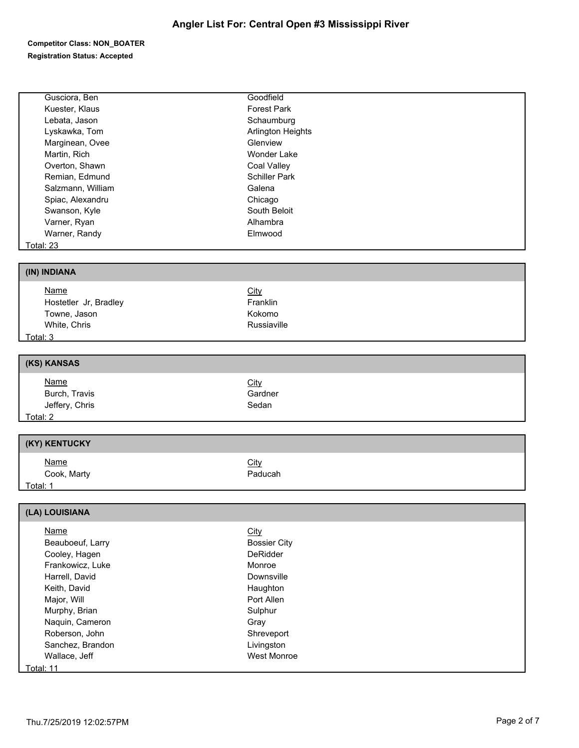| Gusciora, Ben              | Goodfield           |
|----------------------------|---------------------|
| Kuester, Klaus             | Forest Park         |
| Lebata, Jason              | Schaumburg          |
| Lyskawka, Tom              | Arlington Heights   |
| Marginean, Ovee            | Glenview            |
| Martin, Rich               | <b>Wonder Lake</b>  |
| Overton, Shawn             | Coal Valley         |
| Remian, Edmund             | Schiller Park       |
| Salzmann, William          | Galena              |
| Spiac, Alexandru           | Chicago             |
| Swanson, Kyle              | South Beloit        |
| Varner, Ryan               | Alhambra            |
| Warner, Randy              | Elmwood             |
|                            |                     |
| <b>Total: 23</b>           |                     |
|                            |                     |
| (IN) INDIANA               |                     |
| <b>Name</b>                | City                |
| Hostetler Jr, Bradley      | Franklin            |
| Towne, Jason               | Kokomo              |
| White, Chris               | Russiaville         |
|                            |                     |
| Total: 3                   |                     |
|                            |                     |
| (KS) KANSAS                |                     |
| <b>Name</b>                | City                |
| Burch, Travis              | Gardner             |
| Jeffery, Chris             | Sedan               |
| Total: 2                   |                     |
|                            |                     |
| (KY) KENTUCKY              |                     |
|                            |                     |
| <b>Name</b>                | City                |
| Cook, Marty                | Paducah             |
| Total: 1                   |                     |
|                            |                     |
| (LA) LOUISIANA             |                     |
| <b>Name</b>                | City                |
| Beauboeuf, Larry           | <b>Bossier City</b> |
| Cooley, Hagen              | DeRidder            |
| Frankowicz, Luke           | Monroe              |
| Harrell, David             | Downsville          |
| Keith, David               | Haughton            |
|                            |                     |
| Major, Will                | Port Allen          |
| Murphy, Brian              | Sulphur             |
| Naquin, Cameron            | Gray                |
| Roberson, John             | Shreveport          |
|                            |                     |
| Sanchez, Brandon           | Livingston          |
| Wallace, Jeff<br>Total: 11 | West Monroe         |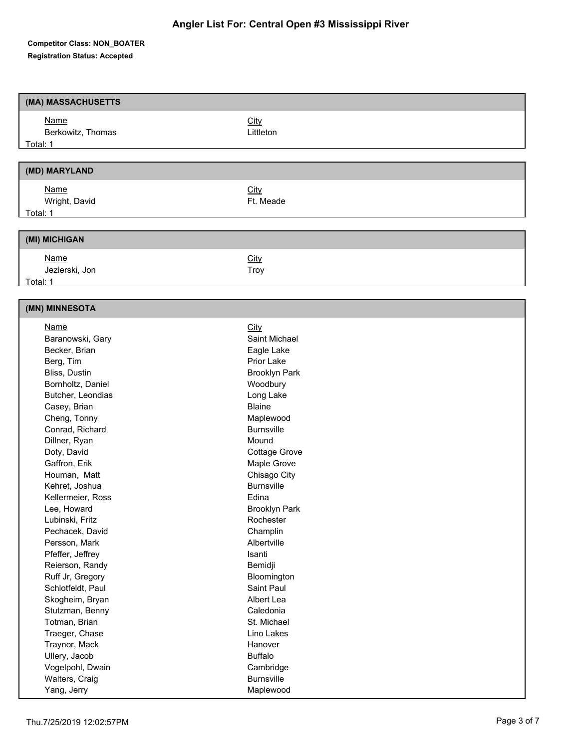| (MA) MASSACHUSETTS                 |                                |
|------------------------------------|--------------------------------|
| <b>Name</b>                        | City                           |
| Berkowitz, Thomas                  | Littleton                      |
| Total: 1                           |                                |
|                                    |                                |
| (MD) MARYLAND                      |                                |
| <b>Name</b>                        | City                           |
| Wright, David                      | Ft. Meade                      |
| Total: 1                           |                                |
|                                    |                                |
| (MI) MICHIGAN                      |                                |
| <b>Name</b>                        | City                           |
| Jezierski, Jon                     | Troy                           |
| Total: 1                           |                                |
|                                    |                                |
| (MN) MINNESOTA                     |                                |
| <b>Name</b>                        | City                           |
| Baranowski, Gary                   | Saint Michael                  |
| Becker, Brian                      | Eagle Lake                     |
| Berg, Tim                          | Prior Lake                     |
| Bliss, Dustin                      | <b>Brooklyn Park</b>           |
| Bornholtz, Daniel                  | Woodbury                       |
| Butcher, Leondias                  | Long Lake                      |
| Casey, Brian                       | <b>Blaine</b>                  |
| Cheng, Tonny                       | Maplewood                      |
| Conrad, Richard                    | <b>Burnsville</b>              |
| Dillner, Ryan                      | Mound                          |
| Doty, David<br>Gaffron, Erik       | Cottage Grove<br>Maple Grove   |
| Houman, Matt                       | Chisago City                   |
| Kehret, Joshua                     | <b>Burnsville</b>              |
| Kellermeier, Ross                  | Edina                          |
| Lee, Howard                        | <b>Brooklyn Park</b>           |
| Lubinski, Fritz                    | Rochester                      |
| Pechacek, David                    | Champlin                       |
| Persson, Mark                      | Albertville                    |
| Pfeffer, Jeffrey                   | Isanti                         |
| Reierson, Randy                    | Bemidji                        |
| Ruff Jr, Gregory                   | Bloomington                    |
| Schlotfeldt, Paul                  | Saint Paul                     |
| Skogheim, Bryan                    | Albert Lea                     |
| Stutzman, Benny                    | Caledonia                      |
| Totman, Brian                      | St. Michael                    |
| Traeger, Chase                     | Lino Lakes                     |
| Traynor, Mack                      | Hanover                        |
| Ullery, Jacob                      | <b>Buffalo</b>                 |
| Vogelpohl, Dwain<br>Walters, Craig | Cambridge<br><b>Burnsville</b> |
| Yang, Jerry                        | Maplewood                      |
|                                    |                                |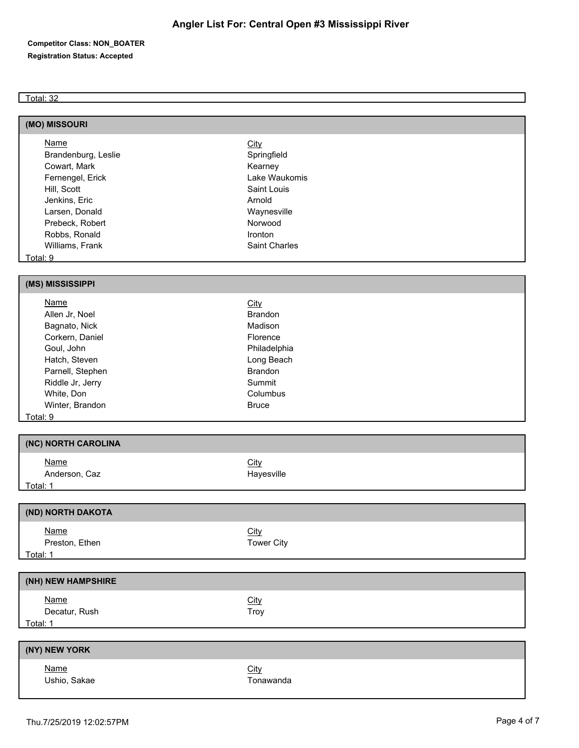#### **Competitor Class: NON\_BOATER Registration Status: Accepted**

#### Total: 32

| (MO) MISSOURI       |                      |
|---------------------|----------------------|
| Name                | <b>City</b>          |
| Brandenburg, Leslie | Springfield          |
| Cowart, Mark        | Kearney              |
| Fernengel, Erick    | Lake Waukomis        |
| Hill, Scott         | Saint Louis          |
| Jenkins, Eric       | Arnold               |
| Larsen, Donald      | Waynesville          |
| Prebeck, Robert     | Norwood              |
| Robbs, Ronald       | <b>Ironton</b>       |
| Williams, Frank     | <b>Saint Charles</b> |
| $T$ , $\sim$ $\sim$ |                      |

<u>Total: 9</u>

#### **(MS) MISSISSIPPI**

| <b>Name</b>      | <b>City</b>    |  |
|------------------|----------------|--|
| Allen Jr, Noel   | <b>Brandon</b> |  |
| Bagnato, Nick    | Madison        |  |
| Corkern, Daniel  | Florence       |  |
| Goul, John       | Philadelphia   |  |
| Hatch, Steven    | Long Beach     |  |
| Parnell, Stephen | <b>Brandon</b> |  |
| Riddle Jr, Jerry | Summit         |  |
| White, Don       | Columbus       |  |
| Winter, Brandon  | <b>Bruce</b>   |  |
| Total: 9         |                |  |

| (NC) NORTH CAROLINA          |                           |
|------------------------------|---------------------------|
| <b>Name</b><br>Anderson, Caz | <u>City</u><br>Hayesville |
| <u>Total: 1</u>              |                           |

| (ND) NORTH DAKOTA             |                           |  |
|-------------------------------|---------------------------|--|
| <b>Name</b><br>Preston, Ethen | <b>City</b><br>Tower City |  |
| Total: 1                      |                           |  |
|                               |                           |  |

| (NH) NEW HAMPSHIRE           |                     |  |
|------------------------------|---------------------|--|
| <b>Name</b><br>Decatur, Rush | <b>City</b><br>Troy |  |
| Total: 1                     |                     |  |
|                              |                     |  |
| <b>INIVI NICIAL VODIZ</b>    |                     |  |

## **(NY) NEW YORK**

Name City Ushio, Sakae Tonawanda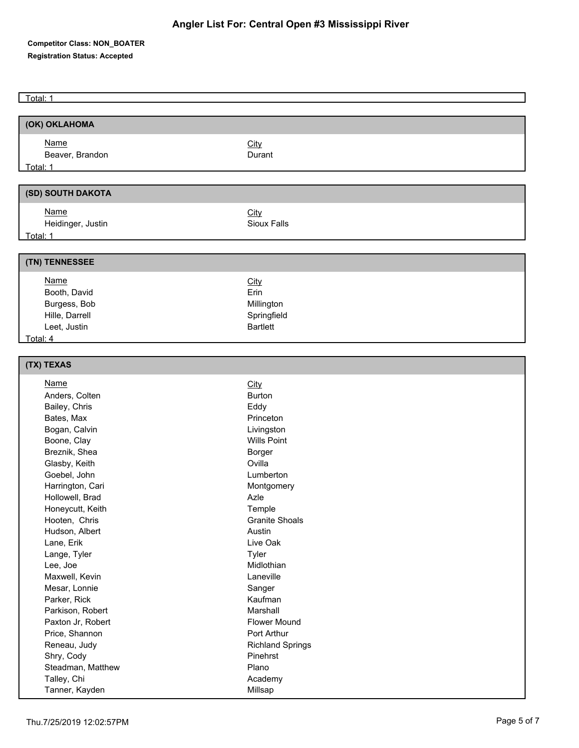| Total: 1                      |                         |
|-------------------------------|-------------------------|
|                               |                         |
| (OK) OKLAHOMA                 |                         |
| <b>Name</b>                   | City                    |
| Beaver, Brandon               | Durant                  |
| Total: 1                      |                         |
|                               |                         |
| (SD) SOUTH DAKOTA             |                         |
| <b>Name</b>                   | <b>City</b>             |
| Heidinger, Justin             | Sioux Falls             |
| Total: 1                      |                         |
|                               |                         |
| (TN) TENNESSEE                |                         |
| <b>Name</b>                   | City                    |
| Booth, David                  | Erin                    |
| Burgess, Bob                  | Millington              |
| Hille, Darrell                | Springfield             |
| Leet, Justin                  | <b>Bartlett</b>         |
| Total: 4                      |                         |
|                               |                         |
| (TX) TEXAS                    |                         |
| <b>Name</b>                   | <b>City</b>             |
| Anders, Colten                | <b>Burton</b>           |
| Bailey, Chris                 | Eddy                    |
| Bates, Max                    | Princeton               |
| Bogan, Calvin                 | Livingston              |
| Boone, Clay<br>Breznik, Shea  | <b>Wills Point</b>      |
| Glasby, Keith                 | Borger<br>Ovilla        |
| Goebel, John                  | Lumberton               |
| Harrington, Cari              | Montgomery              |
| Hollowell, Brad               | Azle                    |
| Honeycutt, Keith              | Temple                  |
| Hooten, Chris                 | <b>Granite Shoals</b>   |
| Hudson, Albert                | Austin                  |
| Lane, Erik                    | Live Oak                |
| Lange, Tyler                  | Tyler                   |
| Lee, Joe                      | Midlothian              |
| Maxwell, Kevin                | Laneville               |
| Mesar, Lonnie                 | Sanger                  |
| Parker, Rick                  | Kaufman                 |
| Parkison, Robert              | Marshall                |
| Paxton Jr, Robert             | Flower Mound            |
| Price, Shannon                | Port Arthur             |
| Reneau, Judy                  | <b>Richland Springs</b> |
| Shry, Cody                    | Pinehrst                |
| Steadman, Matthew             | Plano                   |
| Talley, Chi<br>Tanner, Kayden | Academy<br>Millsap      |
|                               |                         |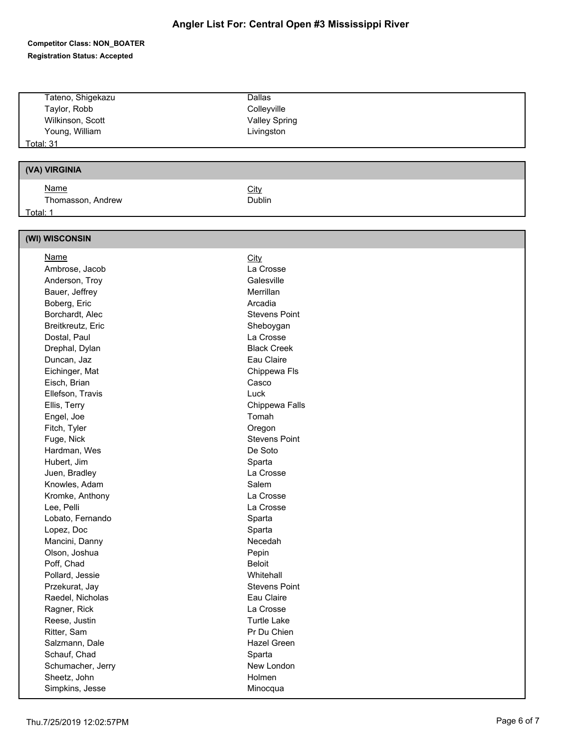|                   | <b>Dallas</b>        |
|-------------------|----------------------|
| Tateno, Shigekazu |                      |
| Taylor, Robb      | Colleyville          |
| Wilkinson, Scott  | <b>Valley Spring</b> |
| Young, William    | Livingston           |
| <b>Total: 31</b>  |                      |
|                   |                      |
| (VA) VIRGINIA     |                      |
| Name              | City                 |
| Thomasson, Andrew | <b>Dublin</b>        |
| Total: 1          |                      |
|                   |                      |
| (WI) WISCONSIN    |                      |
| <b>Name</b>       | <b>City</b>          |
| Ambrose, Jacob    | La Crosse            |
| Anderson, Troy    | Galesville           |
| Bauer, Jeffrey    | Merrillan            |
| Boberg, Eric      | Arcadia              |
| Borchardt, Alec   | <b>Stevens Point</b> |
| Breitkreutz, Eric | Sheboygan            |
| Dostal, Paul      | La Crosse            |
| Drephal, Dylan    | <b>Black Creek</b>   |
| Duncan, Jaz       | Eau Claire           |
| Eichinger, Mat    | Chippewa Fls         |
| Eisch, Brian      | Casco                |
| Ellefson, Travis  | Luck                 |
| Ellis, Terry      | Chippewa Falls       |
| Engel, Joe        | Tomah                |
| Fitch, Tyler      | Oregon               |
| Fuge, Nick        | <b>Stevens Point</b> |
| Hardman, Wes      | De Soto              |
| Hubert, Jim       | Sparta               |
| Juen, Bradley     | La Crosse            |
| Knowles, Adam     | Salem                |
| Kromke, Anthony   | La Crosse            |
| Lee, Pelli        | La Crosse            |
| Lobato, Fernando  | Sparta               |
| Lopez, Doc        | Sparta               |
| Mancini, Danny    | Necedah              |
| Olson, Joshua     | Pepin                |
| Poff, Chad        | <b>Beloit</b>        |
| Pollard, Jessie   | Whitehall            |
| Przekurat, Jay    | <b>Stevens Point</b> |
| Raedel, Nicholas  | Eau Claire           |
| Ragner, Rick      | La Crosse            |
| Reese, Justin     | <b>Turtle Lake</b>   |
| Ritter, Sam       | Pr Du Chien          |
| Salzmann, Dale    | Hazel Green          |
| Schauf, Chad      | Sparta               |
| Schumacher, Jerry | New London           |
| Sheetz, John      | Holmen               |
| Simpkins, Jesse   | Minocqua             |